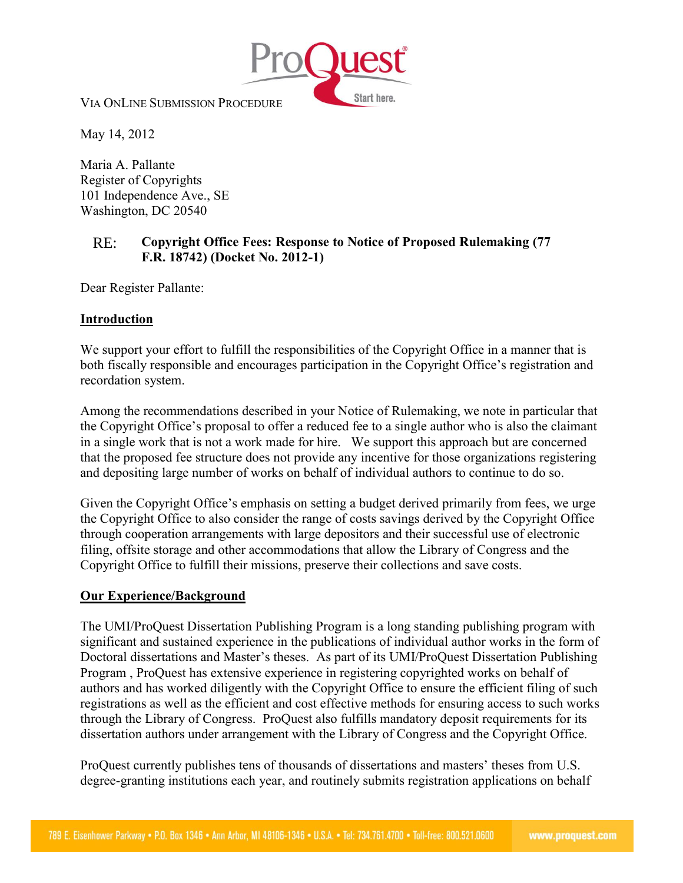

VIA ONLINE SUBMISSION PROCEDURE

May 14, 2012

Maria A. Pallante Register of Copyrights 101 Independence Ave., SE Washington, DC 20540

## RE: **Copyright Office Fees: Response to Notice of Proposed Rulemaking (77 F.R. 18742) (Docket No. 2012-1)**

Dear Register Pallante:

## **Introduction**

We support your effort to fulfill the responsibilities of the Copyright Office in a manner that is both fiscally responsible and encourages participation in the Copyright Office's registration and recordation system.

Among the recommendations described in your Notice of Rulemaking, we note in particular that the Copyright Office's proposal to offer a reduced fee to a single author who is also the claimant in a single work that is not a work made for hire. We support this approach but are concerned that the proposed fee structure does not provide any incentive for those organizations registering and depositing large number of works on behalf of individual authors to continue to do so.

Given the Copyright Office's emphasis on setting a budget derived primarily from fees, we urge the Copyright Office to also consider the range of costs savings derived by the Copyright Office through cooperation arrangements with large depositors and their successful use of electronic filing, offsite storage and other accommodations that allow the Library of Congress and the Copyright Office to fulfill their missions, preserve their collections and save costs.

## **Our Experience/Background**

The UMI/ProQuest Dissertation Publishing Program is a long standing publishing program with significant and sustained experience in the publications of individual author works in the form of Doctoral dissertations and Master's theses. As part of its UMI/ProQuest Dissertation Publishing Program , ProQuest has extensive experience in registering copyrighted works on behalf of authors and has worked diligently with the Copyright Office to ensure the efficient filing of such registrations as well as the efficient and cost effective methods for ensuring access to such works through the Library of Congress. ProQuest also fulfills mandatory deposit requirements for its dissertation authors under arrangement with the Library of Congress and the Copyright Office.

ProQuest currently publishes tens of thousands of dissertations and masters' theses from U.S. degree-granting institutions each year, and routinely submits registration applications on behalf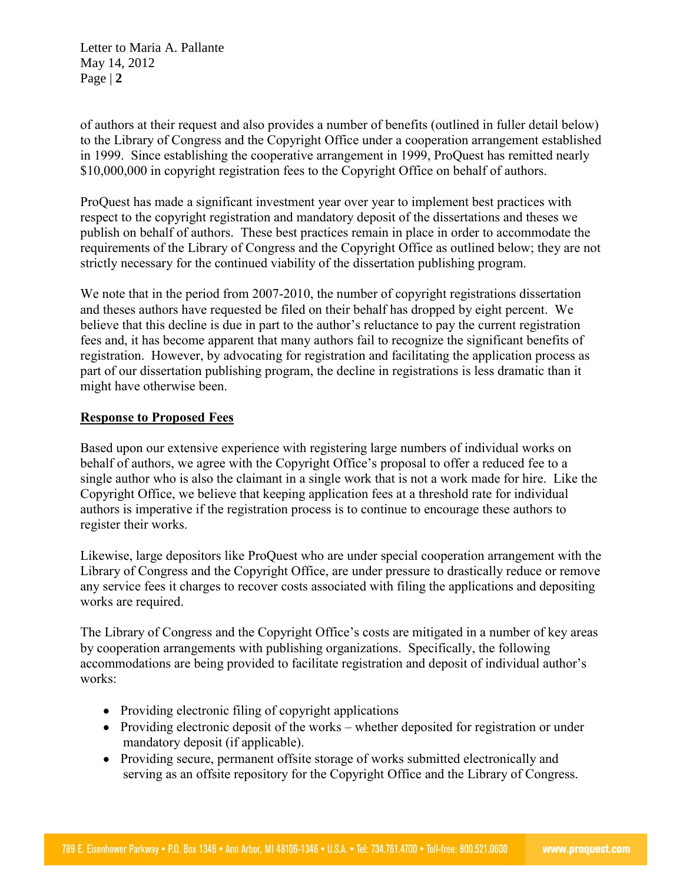Letter to Maria A. Pallante May 14, 2012 Page | **2**

of authors at their request and also provides a number of benefits (outlined in fuller detail below) to the Library of Congress and the Copyright Office under a cooperation arrangement established in 1999. Since establishing the cooperative arrangement in 1999, ProQuest has remitted nearly \$10,000,000 in copyright registration fees to the Copyright Office on behalf of authors.

ProQuest has made a significant investment year over year to implement best practices with respect to the copyright registration and mandatory deposit of the dissertations and theses we publish on behalf of authors. These best practices remain in place in order to accommodate the requirements of the Library of Congress and the Copyright Office as outlined below; they are not strictly necessary for the continued viability of the dissertation publishing program.

We note that in the period from 2007-2010, the number of copyright registrations dissertation and theses authors have requested be filed on their behalf has dropped by eight percent. We believe that this decline is due in part to the author's reluctance to pay the current registration fees and, it has become apparent that many authors fail to recognize the significant benefits of registration. However, by advocating for registration and facilitating the application process as part of our dissertation publishing program, the decline in registrations is less dramatic than it might have otherwise been.

## **Response to Proposed Fees**

Based upon our extensive experience with registering large numbers of individual works on behalf of authors, we agree with the Copyright Office's proposal to offer a reduced fee to a single author who is also the claimant in a single work that is not a work made for hire. Like the Copyright Office, we believe that keeping application fees at a threshold rate for individual authors is imperative if the registration process is to continue to encourage these authors to register their works.

Likewise, large depositors like ProQuest who are under special cooperation arrangement with the Library of Congress and the Copyright Office, are under pressure to drastically reduce or remove any service fees it charges to recover costs associated with filing the applications and depositing works are required.

The Library of Congress and the Copyright Office's costs are mitigated in a number of key areas by cooperation arrangements with publishing organizations. Specifically, the following accommodations are being provided to facilitate registration and deposit of individual author's works:

- Providing electronic filing of copyright applications
- Providing electronic deposit of the works whether deposited for registration or under mandatory deposit (if applicable).
- Providing secure, permanent offsite storage of works submitted electronically and serving as an offsite repository for the Copyright Office and the Library of Congress.